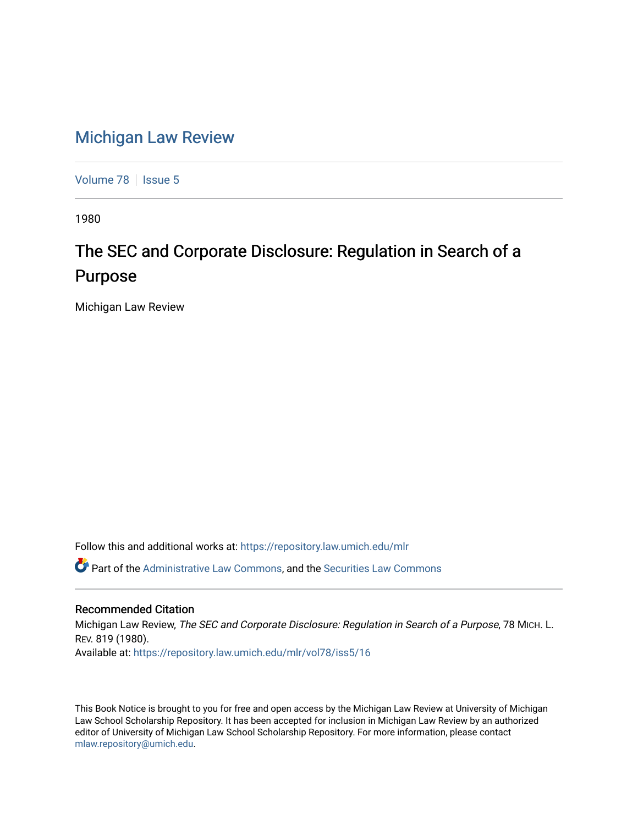## [Michigan Law Review](https://repository.law.umich.edu/mlr)

[Volume 78](https://repository.law.umich.edu/mlr/vol78) | [Issue 5](https://repository.law.umich.edu/mlr/vol78/iss5)

1980

## The SEC and Corporate Disclosure: Regulation in Search of a Purpose

Michigan Law Review

Follow this and additional works at: [https://repository.law.umich.edu/mlr](https://repository.law.umich.edu/mlr?utm_source=repository.law.umich.edu%2Fmlr%2Fvol78%2Fiss5%2F16&utm_medium=PDF&utm_campaign=PDFCoverPages) 

Part of the [Administrative Law Commons,](http://network.bepress.com/hgg/discipline/579?utm_source=repository.law.umich.edu%2Fmlr%2Fvol78%2Fiss5%2F16&utm_medium=PDF&utm_campaign=PDFCoverPages) and the [Securities Law Commons](http://network.bepress.com/hgg/discipline/619?utm_source=repository.law.umich.edu%2Fmlr%2Fvol78%2Fiss5%2F16&utm_medium=PDF&utm_campaign=PDFCoverPages)

## Recommended Citation

Michigan Law Review, The SEC and Corporate Disclosure: Regulation in Search of a Purpose, 78 MICH. L. REV. 819 (1980). Available at: [https://repository.law.umich.edu/mlr/vol78/iss5/16](https://repository.law.umich.edu/mlr/vol78/iss5/16?utm_source=repository.law.umich.edu%2Fmlr%2Fvol78%2Fiss5%2F16&utm_medium=PDF&utm_campaign=PDFCoverPages) 

This Book Notice is brought to you for free and open access by the Michigan Law Review at University of Michigan Law School Scholarship Repository. It has been accepted for inclusion in Michigan Law Review by an authorized editor of University of Michigan Law School Scholarship Repository. For more information, please contact [mlaw.repository@umich.edu.](mailto:mlaw.repository@umich.edu)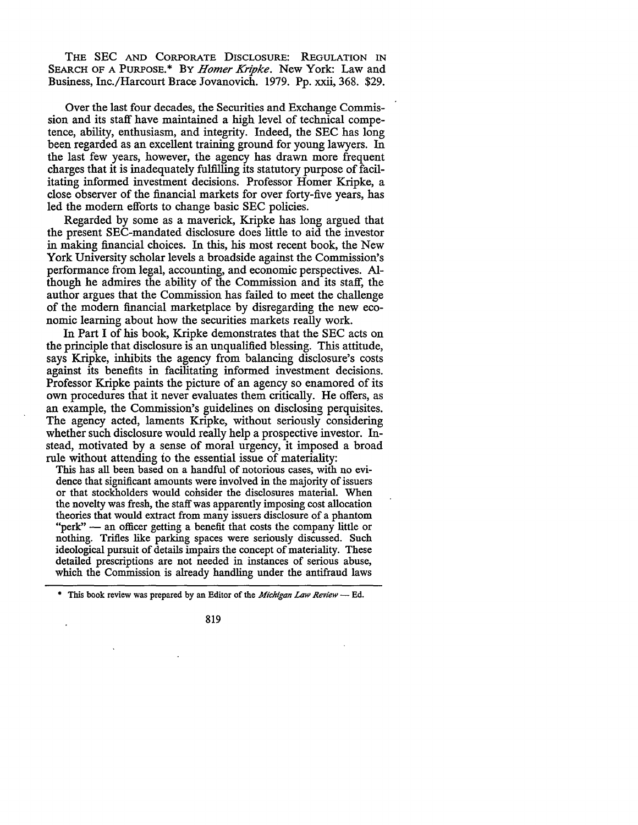THE SEC AND CORPORATE DISCLOSURE: REGULATION IN SEARCH OF A PURPOSE.\* BY *Homer Kripke.* New York: Law and Business, Inc./Harcourt Brace Jovanovich. 1979. Pp. xxii, 368. \$29.

Over the last four decades, the Securities and Exchange Commission and its staff have maintained a high level of technical competence, ability, enthusiasm, and integrity. Indeed, the SEC has long been regarded as an excellent training ground for young lawyers. In the last few years, however, the agency has drawn more frequent charges that it is inadequately fulfilling its statutory purpose of facilitating informed investment decisions. Professor Homer Kripke, a close observer of the financial markets for over forty-five years, has led the modern efforts to change basic SEC policies.

Regarded by some as a maverick, Kripke has long argued that the present SEC-mandated disclosure does little to aid the investor in making financial choices. In this, his most recent book, the New York University scholar levels a broadside against the Commission's performance from legal, accounting, and economic perspectives. Although he admires the ability of the Commission and its staff, the author argues that the Commission has failed to meet the challenge of the modern financial marketplace by disregarding the new economic learning about how the securities markets really work.

In Part I of his book, Kripke demonstrates that the SEC acts on the principle that disclosure is an unqualified blessing. This attitude, says Kripke, inhibits the agency from balancing disclosure's costs against its benefits in facilitating informed investment decisions. Professor Kripke paints the picture of an agency so enamored of its own procedures that it never evaluates them critically. He offers, as an example, the Commission's guidelines on disclosing perquisites. The agency acted, laments Kripke, without seriously considering whether such disclosure would really help a prospective investor. Instead, motivated by a sense of moral urgency, it imposed a broad rule without attending fo the essential issue of materiality:

This has all been based on a handful of notorious cases, with no evidence that significant amounts were involved in the majority of issuers or that stockholders would consider the disclosures material. When the novelty was fresh, the staff was apparently imposing cost allocation theories that would extract from many issuers disclosure of a phantom "perk"  $-$  an officer getting a benefit that costs the company little or nothing. Trifles like parking spaces were seriously discussed. Such ideological pursuit of details impairs the concept of materiality. These detailed prescriptions are not needed in instances of serious abuse, which the Commission is already handling under the antifraud laws

\* This book review was prepared by an Editor of the *Michigan Law Review* --- Ed.

819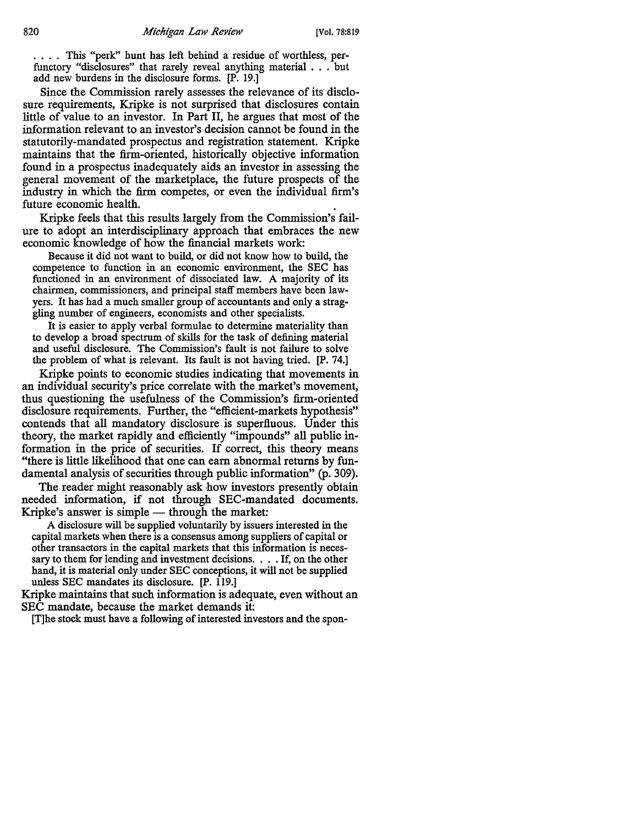.... This "perk" hunt has left behind a residue of worthless, perfunctory "disclosures" that rarely reveal anything material . . . but add new burdens in the disclosure forms. [P. 19.]

Since the Commission rarely assesses the relevance of its disclosure requirements, Kripke is not surprised that disclosures contain little of value to an investor. In Part II, he argues that most of the information relevant to an investor's decision cannot be found in the statutorily-mandated prospectus and registration statement. Kripke maintains that the firm-oriented, historically objective information found in a prospectus inadequately aids an investor in assessing the general movement of the marketplace, the future prospects of the industry in which the firm competes, or even the individual firm's future economic health.

Kripke feels that this results largely from the Commission's failure to adopt an interdisciplinary approach that embraces the new economic knowledge of how the financial markets work:

Because it did not want to build, or did not know how to build, the competence to function in an economic environment, the SEC has functioned in an environment of dissociated law. A majority of its chairmen, commissioners, and principal staff members have been lawyers. It has had a much smaller group of accountants and only a straggling number of engineers, economists and other specialists.

It is easier to apply verbal formulae to determine materiality than to develop a broad spectrum of skills for the task of defining material and useful disclosure. The Commission's fault is not failure to solve the problem of what is relevant. Its fault is not having tried. [P. 74.]

Kripke points to economic studies indicating that movements in an individual security's price correlate with the market's movement, thus questioning the usefulness of the Commission's firm-oriented disclosure requirements. Further, the "efficient-markets hypothesis" contends that all mandatory disclosure is superfluous. Under this theory, the market rapidly and efficiently "impounds" all public information in the price of securities. If correct, this theory means "there is little likelihood that one can earn abnormal returns by fundamental analysis of securities through public information" (p. 309).

The reader might reasonably ask how investors presently obtain needed information, if not through SEC-mandated documents. Kripke's answer is simple  $-$  through the market:

A disclosure will be supplied voluntarily by issuers interested in the capital markets when there is a consensus among suppliers of capital or other transactors in the capital markets that this information is necessary to them for lending and investment decisions. . . . If, on the other hand, it is material only under SEC conceptions, it will not be supplied unless SEC mandates its disclosure. [P. 119.]

Kripke maintains that such information is adequate, even without an SEC mandate, because the market demands it:

[T]he stock must have a following of interested investors and the spon-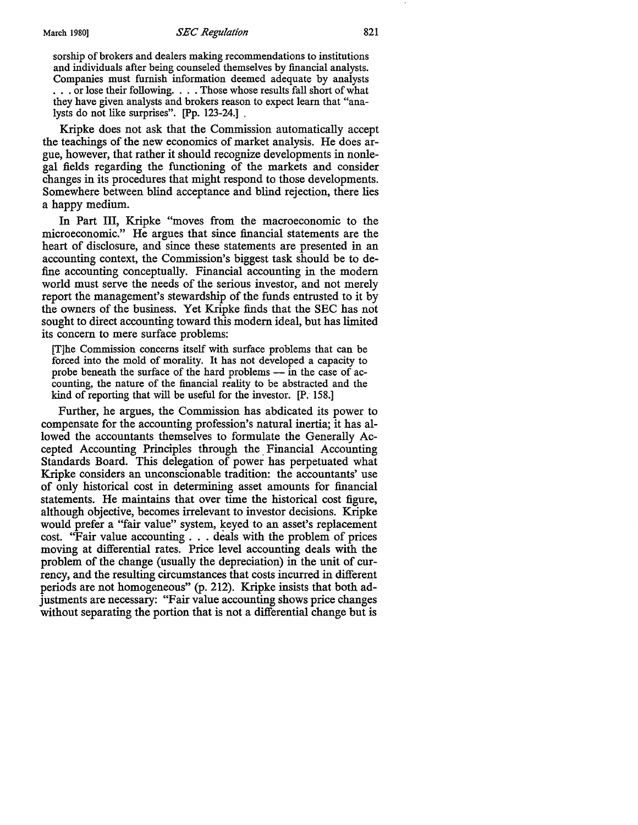sorship of brokers and dealers making recommendations to institutions and individuals after being counseled themselves by financial analysts. Companies must furnish information deemed adequate by analysts ... or lose their following.... Those whose results fall short of what they have given analysts and brokers reason to expect learn that "analysts do not like surprises". [Pp. 123-24.] ,

Kripke does not ask that the Commission automatically accept the teachings of the new economics of market analysis. He does argue, however, that rather it should recognize developments in nonlegal fields regarding the functioning of the markets and consider changes in its procedures that might respond to those developments. Somewhere between blind acceptance and blind rejection, there lies a happy medium.

In Part III, Kripke "moves from the macroeconomic to the microeconomic." He argues that since financial statements are the heart of disclosure, and since these statements are presented in an accounting context, the Commission's biggest task should be to define accounting conceptually. Financial accounting in the modem world must serve the needs of the serious investor, and not merely report the management's stewardship of the funds entrusted to it by the owners of the business. Yet Kripke finds that the SEC has not sought to direct accounting toward this modem ideal, but has limited its concern to mere surface problems:

[T]he Commission concerns itself with surface problems that can be forced into the mold of morality. It has not developed a capacity to probe beneath the surface of the hard problems  $-$  in the case of accounting, the nature of the financial reality to be abstracted and the kind of reporting that will be useful for the investor. [P. 158.]

Further, he argues, the Commission has abdicated its power to compensate for the accounting profession's natural inertia; it has allowed the accountants themselves to formulate the Generally Accepted Accounting Principles through the. Financial Accounting Standards Board. This delegation of power has perpetuated what Kripke considers an unconscionable tradition: the accountants' use of only historical cost in determining asset amounts for financial statements. He maintains that over time the historical cost figure, although objective, becomes irrelevant to investor decisions. Kripke would prefer a "fair value" system, keyed to an asset's replacement cost. "Fair value accounting . . . deals with the problem of prices moving at differential rates. Price level accounting deals with the problem of the change (usually the depreciation) in the unit of currency, and the resulting circumstances that costs incurred in different periods are not homogeneous" (p. 212). Kripke insists that both adjustments are necessary: "Fair value accounting shows price changes without separating the portion that is not a differential change but is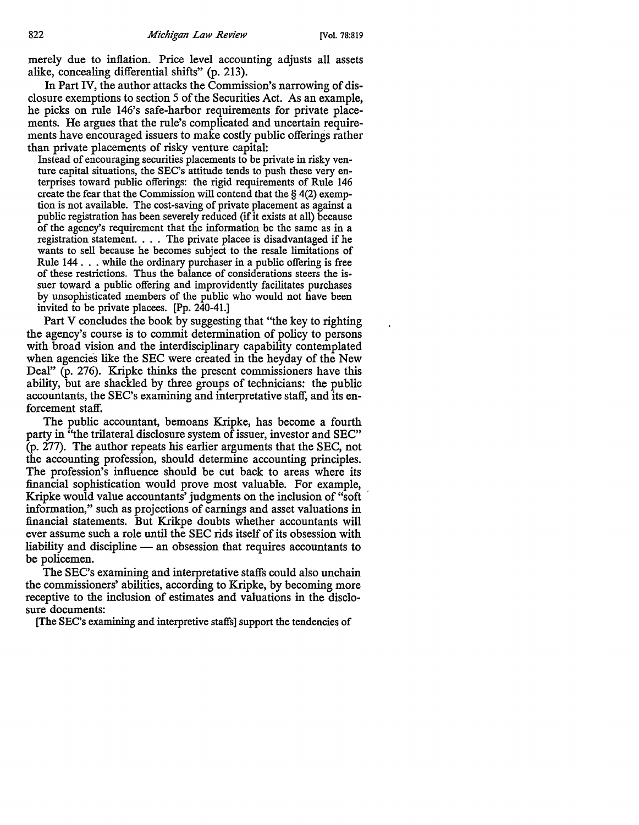merely due to inflation. Price level accounting adjusts all assets alike, concealing differential shifts" (p. 213).

In Part IV, the author attacks the Commission's narrowing of disclosure exemptions to section 5 of the Securities Act. As an example, he picks on rule 146's safe-harbor requirements for private placements. He argues that the rule's complicated and uncertain requirements have encouraged issuers to make costly public offerings rather than private placements of risky venture capital:

Instead of encouraging securities placements to be private in risky venture capital situations, the SEC's attitude tends to push these very enterprises toward public offerings: the rigid requirements of Rule 146 create the fear that the Commission will contend that the § 4(2) exemption is not available. The cost-saving of private placement as against a public registration has been severely reduced (if it exists at all) because of the agency's requirement that the information be the same as in a registration statement. . . . The private placee is disadvantaged if he wants to sell because he becomes subject to the resale limitations of Rule 144 ... while the ordinary purchaser in a public offering is free of these restrictions. Thus the balance of considerations steers the issuer toward a public offering and improvidently facilitates purchases by unsophisticated members of the public who would not have been invited to be private placees. [Pp. 240-41.]

Part V concludes the book by suggesting that "the key to righting the agency's course is to commit determination of policy to persons with broad vision and the interdisciplinary capability contemplated when agencies like the SEC were created in the heyday of the New Deal" (p. 276). Kripke thinks the present commissioners have this ability, but are shackled by three groups of technicians: the public accountants, the SEC's examining and interpretative staff, and its enforcement staff.

The public accountant, bemoans Kripke, has become a fourth party in "the trilateral disclosure system of issuer, investor and SEC" (p. 277). The author repeats his earlier arguments that the SEC, not the accounting profession, should determine accounting principles. The profession's influence should be cut back to areas where its financial sophistication would prove most valuable. For example, Kripke would value accountants' judgments on the inclusion of "soft ' information," such as projections of earnings and asset valuations in financial statements. But Krikpe doubts whether accountants will ever assume such a role until the SEC rids itself of its obsession with liability and discipline — an obsession that requires accountants to be policemen.

The SEC's examining and interpretative staffs could also unchain the commissioners' abilities, according to Kripke, by becoming more receptive to the inclusion of estimates and valuations in the disclosure documents:

[The SEC's examining and interpretive staffs] support the tendencies of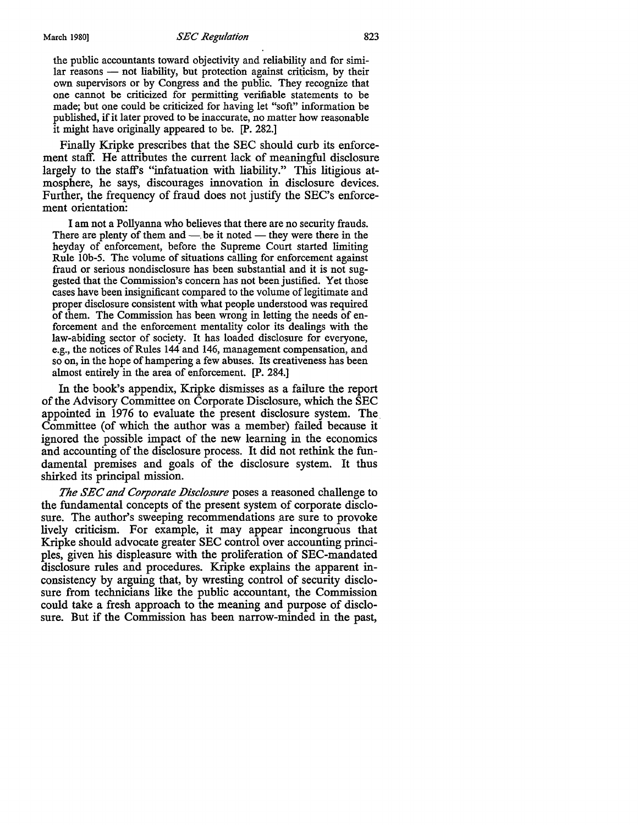## March 1980) *SEC Regulation* 823

the public accountants toward objectivity and reliability and for simi $lar$  reasons  $-$  not liability, but protection against criticism, by their own supervisors or by Congress and the public. They recognize that one cannot be criticized for permitting verifiable statements to be made; but one could be criticized for having let "soft" information be published, if it later proved to be inaccurate, no matter how reasonable it might have originally appeared to be. [P. 282.]

Finally Kripke prescribes that the SEC should curb its enforcement staff. He attributes the current lack of meaningful disclosure largely to the staff's "infatuation with liability." This litigious atmosphere, he says, discourages innovation in disclosure devices. Further, the frequency of fraud does not justify the SEC's enforcement orientation:

I am not a Pollyanna who believes that there are no security frauds. There are plenty of them and  $-$  be it noted  $-$  they were there in the heyday of enforcement, before the Supreme Court started limiting Rule lOb-5. The volume of situations calling for enforcement against fraud or serious nondisclosure has been substantial and it is not suggested that the Commission's concern has not been justified. Yet those cases have been insignificant compared to the volume of legitimate and proper disclosure consistent with what people understood was required of them. The Commission has been wrong in letting the needs of enforcement and the enforcement mentality color its dealings with the law-abiding sector of society. It has loaded disclosure for everyone, e.g., the notices of Rules 144 and 146, management compensation, and so on, in the hope of hampering a few abuses. Its creativeness has been almost entirely in the area of enforcement. [P. 284.]

In the book's appendix, Kripke dismisses as a failure the report of the Advisory Committee on Corporate Disclosure, which the SEC appointed in 1976 to evaluate the present disclosure system. The\_ Committee (of which the author was a member) failed because it ignored the possible impact of the new learning in the economics and accounting of the disclosure process. It did not rethink the fundamental premises and goals of the disclosure system. It thus shirked its principal mission.

The SEC and Corporate Disclosure poses a reasoned challenge to the fundamental concepts of the present system of corporate disclosure. The author's sweeping recommendations are sure to provoke lively criticism. For example, it may appear incongruous that Kripke should advocate greater SEC control over accounting principles, given his displeasure with the proliferation of SEC-mandated disclosure rules and procedures. Kripke explains the apparent inconsistency by arguing that, by wresting control of security disclosure from technicians like the public accountant, the Commission could take a fresh approach to the meaning and purpose of disclosure. But if the Commission has been narrow-minded in the past,